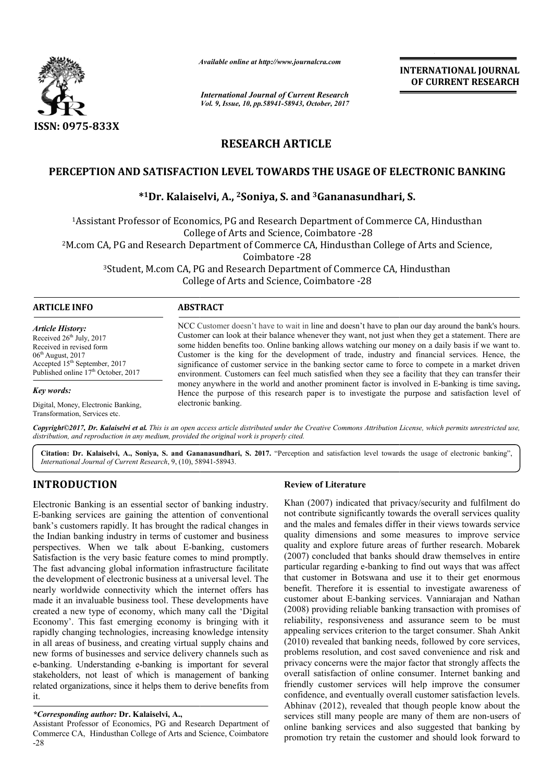

*Available online at http://www.journal http://www.journalcra.com*

*International Journal of Current Research Vol. 9, Issue, 10, pp.58941-58943, October, 2017* **INTERNATIONAL JOURNAL OF CURRENT RESEARCH** 

# **RESEARCH ARTICLE**

# PERCEPTION AND SATISFACTION LEVEL TOWARDS THE USAGE OF ELECTRONIC BANKING<br><sup>\*1</sup>Dr. Kalaiselvi, A., <sup>2</sup>Soniya, S. and <sup>3</sup>Gananasundhari, S.

## **\*1Dr. Kalaiselvi, Dr. A., 2Soniya, S. and 3Gananasundhari, S.**

<sup>1</sup>Assistant Professor of Economics, PG and Research Department of Commerce CA, Hindusthan College of A Arts and Science, Coimbatore -28 <sup>2</sup>M.com CA, PG and Research Department of Commerce CA, Hindusthan College of Arts and Science, <sup>3</sup>Student, M.com CA, PG and Research Department of Commerce CA, Hindusthan Coimbatore -28

A, PG and Research Department of Commer<br>College of Arts and Science, Coimbatore -28

| NCC Customer doesn't have to wait in line and doesn't have to plan our day around the bank's hours.<br>Customer can look at their balance whenever they want, not just when they get a statement. There are<br>some hidden benefits too. Online banking allows watching our money on a daily basis if we want to.<br>Customer is the king for the development of trade, industry and financial services. Hence, the<br>significance of customer service in the banking sector came to force to compete in a market driven<br>environment. Customers can feel much satisfied when they see a facility that they can transfer their |
|-----------------------------------------------------------------------------------------------------------------------------------------------------------------------------------------------------------------------------------------------------------------------------------------------------------------------------------------------------------------------------------------------------------------------------------------------------------------------------------------------------------------------------------------------------------------------------------------------------------------------------------|
| money anywhere in the world and another prominent factor is involved in E-banking is time saving.<br>Hence the purpose of this research paper is to investigate the purpose and satisfaction level of                                                                                                                                                                                                                                                                                                                                                                                                                             |
|                                                                                                                                                                                                                                                                                                                                                                                                                                                                                                                                                                                                                                   |

Copyright©2017, Dr. Kalaiselvi et al. This is an open access article distributed under the Creative Commons Attribution License, which permits unrestricted use, *distribution, and reproduction in any medium, provided the original work is properly cited.*

Citation: Dr. Kalaiselvi, A., Soniya, S. and Gananasundhari, S. 2017. "Perception and satisfaction level towards the usage of electronic banking", *International Journal of Current Research*, 9, (10), 589 58941-58943.

# **INTRODUCTION**

Transformation, Services etc.

Electronic Banking is an essential sector of banking industry. E-banking services are gaining the attention of conventional bank's customers rapidly. It has brought the radical changes in the Indian banking industry in terms of customer and business perspectives. When we talk about E-banking, customers Satisfaction is the very basic feature comes to mind promptly. The fast advancing global information infrastructure facilitate the development of electronic business at a universal level. The nearly worldwide connectivity which the internet offers has made it an invaluable business tool. These developments have created a new type of economy, which many call the 'Digital Economy'. This fast emerging economy is bringing with it rapidly changing technologies, increasing knowledge intensity in all areas of business, and creating virtual supply chains and new forms of businesses and service delivery channels such as e-banking. Understanding e-banking is important for several stakeholders, not least of which is management of banking related organizations, since it helps them to derive benefits from it. banking services are gaining the attention of conventional<br>nk's customers rapidly. It has brought the radical changes in<br>e Indian banking industry in terms of customer and business<br>rspectives. When we talk about E-banking,

#### *\*Corresponding author:* **Dr. Kalaiselvi, A.,**

Assistant Professor of Economics, PG and Research Department of Commerce CA, Hindusthan College of Arts and Science, Coimbatore -28

### **Review of Literature**

Khan (2007) indicated that privacy/security and fulfilment do not contribute significantly towards the overall services quality and the males and females differ in their views towards service quality dimensions and some measures to improve service quality and explore future areas of further research. Mobarek (2007) concluded that banks should draw themselves in entire particular regarding e-banking to find out ways that was affect that customer in Botswana and use it t benefit. Therefore it is essential to investigate awareness of customer about E-banking services. Vanniarajan and Nathan (2008) providing reliable banking transaction with promises of reliability, responsiveness and assurance seem to b appealing services criterion to the target consumer. Shah Ankit (2010) revealed that banking needs, followed by core services, problems resolution, and cost saved convenience and risk and privacy concerns were the major factor that strongly affects overall satisfaction of online consumer. Internet banking and friendly customer services will help improve the consumer confidence, and eventually overall customer satisfaction levels. Abhinav (2012), revealed that though people know about the services still many people are many of them are non-users of online banking services and also suggested that banking by promotion try retain the customer and should look forward to (2007) indicated that privacy/security and fulfilment do contribute significantly towards service to service measures to service lity dimensions and some measures to improve service lity and explore future areas of further it is essential to investigate awareness of<br>banking services. Vanniarajan and Nathan<br>eliable banking transaction with promises of<br>siveness and assurance seem to be must appealing services criterion to the target consumer. Shah Ankit (2010) revealed that banking needs, followed by core services, problems resolution, and cost saved convenience and risk and privacy concerns were the major fa ne consumer. Internet banking and<br>i will help improve the consumer<br>overall customer satisfaction levels.<br>that though people know about the<br>are many of them are non-users of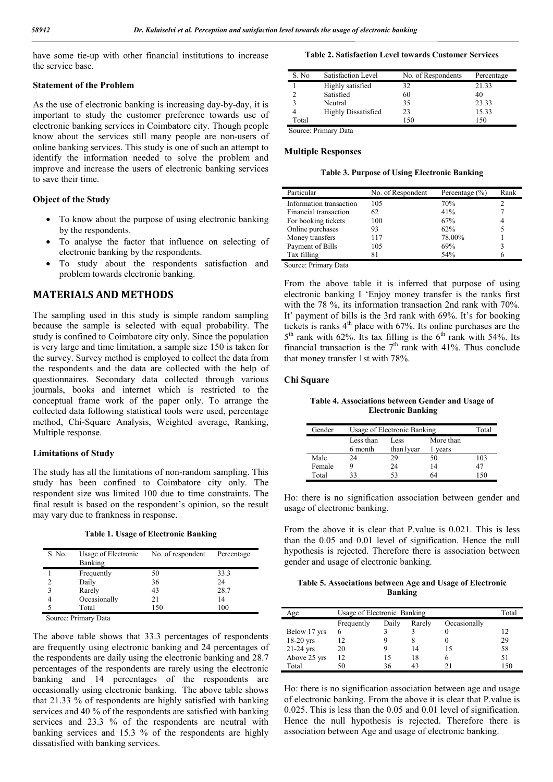have some tie-up with other financial institutions to increase the service base.

#### **Statement of the Problem**

As the use of electronic banking is increasing day-by-day, it is important to study the customer preference towards use of electronic banking services in Coimbatore city. Though people know about the services still many people are non-users of online banking services. This study is one of such an attempt to identify the information needed to solve the problem and improve and increase the users of electronic banking services to save their time.

#### **Object of the Study**

- To know about the purpose of using electronic banking by the respondents.
- To analyse the factor that influence on selecting of electronic banking by the respondents.
- To study about the respondents satisfaction and problem towards electronic banking.

## **MATERIALS AND METHODS**

The sampling used in this study is simple random sampling because the sample is selected with equal probability. The study is confined to Coimbatore city only. Since the population is very large and time limitation, a sample size 150 is taken for the survey. Survey method is employed to collect the data from the respondents and the data are collected with the help of questionnaires. Secondary data collected through various journals, books and internet which is restricted to the conceptual frame work of the paper only. To arrange the collected data following statistical tools were used, percentage method, Chi-Square Analysis, Weighted average, Ranking, Multiple response.

#### **Limitations of Study**

The study has all the limitations of non-random sampling. This study has been confined to Coimbatore city only. The respondent size was limited 100 due to time constraints. The final result is based on the respondent's opinion, so the result may vary due to frankness in response.

**Table 1. Usage of Electronic Banking**

| S. No. | Usage of Electronic<br><b>Banking</b> | No. of respondent | Percentage |
|--------|---------------------------------------|-------------------|------------|
|        | Frequently                            | 50                | 33.3       |
|        | Daily                                 | 36                | 24         |
| 2      | Rarely                                | 43                | 28.7       |
|        | Occasionally                          | 21                | 14         |
|        | Total                                 | 150               | 100        |

Source: Primary Data

The above table shows that 33.3 percentages of respondents are frequently using electronic banking and 24 percentages of the respondents are daily using the electronic banking and 28.7 percentages of the respondents are rarely using the electronic banking and 14 percentages of the respondents are occasionally using electronic banking. The above table shows that 21.33 % of respondents are highly satisfied with banking services and 40 % of the respondents are satisfied with banking services and 23.3 % of the respondents are neutral with banking services and 15.3 % of the respondents are highly dissatisfied with banking services.

#### **Table 2. Satisfaction Level towards Customer Services**

| S. No | Satisfaction Level         | No. of Respondents | Percentage |
|-------|----------------------------|--------------------|------------|
|       | Highly satisfied           | 32                 | 21.33      |
|       | Satisfied                  | 60                 | 40         |
|       | Neutral                    | 35                 | 23.33      |
|       | <b>Highly Dissatisfied</b> | 23                 | 15.33      |
| Total |                            | 150                | 150        |

Source: Primary Data

#### **Multiple Responses**

**Table 3. Purpose of Using Electronic Banking**

| Particular              | No. of Respondent | Percentage $(\% )$ | Rank |
|-------------------------|-------------------|--------------------|------|
| Information transaction | 105               | 70%                |      |
| Financial transaction   | 62                | 41%                |      |
| For booking tickets     | 100               | 67%                |      |
| Online purchases        | 93                | 62%                |      |
| Money transfers         | 117               | 78.00%             |      |
| Payment of Bills        | 105               | 69%                |      |
| Tax filling             | 81                | 54%                |      |

Source: Primary Data

From the above table it is inferred that purpose of using electronic banking I 'Enjoy money transfer is the ranks first with the 78 %, its information transaction 2nd rank with 70%. It' payment of bills is the 3rd rank with 69%. It's for booking tickets is ranks  $4<sup>th</sup>$  place with 67%. Its online purchases are the  $5<sup>th</sup>$  rank with 62%. Its tax filling is the  $6<sup>th</sup>$  rank with 54%. Its financial transaction is the  $7<sup>th</sup>$  rank with 41%. Thus conclude that money transfer 1st with 78%.

#### **Chi Square**

**Table 4. Associations between Gender and Usage of Electronic Banking**

| Gender | Usage of Electronic Banking |             |           | Total |
|--------|-----------------------------|-------------|-----------|-------|
|        | Less than                   | Less        | More than |       |
|        | 6 month                     | than l year | vears     |       |
| Male   | 24                          | 29          | 50        | 103   |
| Female |                             | 24          | 14        | 47    |
| Total  | 33                          | 53          | 64        | 150   |

Ho: there is no signification association between gender and usage of electronic banking.

From the above it is clear that P.value is 0.021. This is less than the 0.05 and 0.01 level of signification. Hence the null hypothesis is rejected. Therefore there is association between gender and usage of electronic banking.

#### **Table 5. Associations between Age and Usage of Electronic Banking**

| Age          | Usage of Electronic Banking |       |        |              | Total |
|--------------|-----------------------------|-------|--------|--------------|-------|
|              | Frequently                  | Daily | Rarely | Occasionally |       |
| Below 17 yrs |                             |       |        |              | 12    |
| $18-20$ yrs  | 12                          |       |        |              | 29    |
| $21-24$ yrs  | 20                          |       | 14     | 15           | 58    |
| Above 25 yrs | 12                          | 15    | 18     |              | 51    |
| Total        | 50                          | 36    |        |              | 150   |

Ho: there is no signification association between age and usage of electronic banking. From the above it is clear that P.value is 0.025. This is less than the 0.05 and 0.01 level of signification. Hence the null hypothesis is rejected. Therefore there is association between Age and usage of electronic banking.